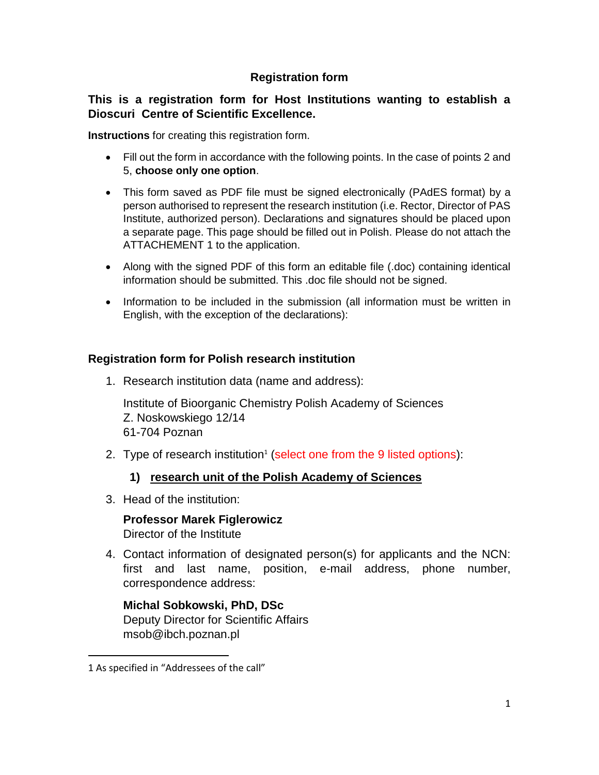## **Registration form**

## **This is a registration form for Host Institutions wanting to establish a Dioscuri Centre of Scientific Excellence.**

**Instructions** for creating this registration form.

- Fill out the form in accordance with the following points. In the case of points 2 and 5, **choose only one option**.
- This form saved as PDF file must be signed electronically (PAdES format) by a person authorised to represent the research institution (i.e. Rector, Director of PAS Institute, authorized person). Declarations and signatures should be placed upon a separate page. This page should be filled out in Polish. Please do not attach the ATTACHEMENT 1 to the application.
- Along with the signed PDF of this form an editable file (.doc) containing identical information should be submitted. This .doc file should not be signed.
- Information to be included in the submission (all information must be written in English, with the exception of the declarations):

### **Registration form for Polish research institution**

1. Research institution data (name and address):

Institute of Bioorganic Chemistry Polish Academy of Sciences Z. Noskowskiego 12/14 61-704 Poznan

2. Type of research institution<sup>1</sup> (select one from the 9 listed options):

## **1) research unit of the Polish Academy of Sciences**

3. Head of the institution:

**Professor Marek Figlerowicz** Director of the Institute

4. Contact information of designated person(s) for applicants and the NCN: first and last name, position, e-mail address, phone number, correspondence address:

**Michal Sobkowski, PhD, DSc** Deputy Director for Scientific Affairs msob@ibch.poznan.pl

l

<sup>1</sup> As specified in "Addressees of the call"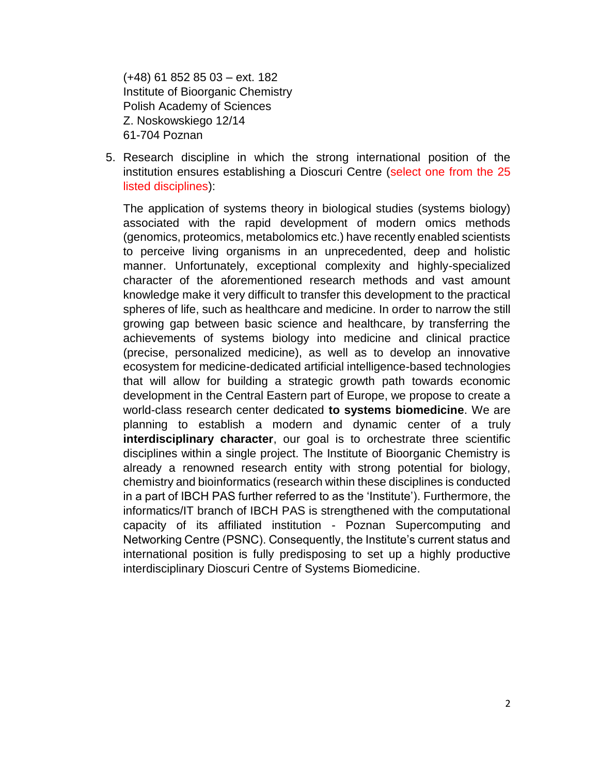(+48) 61 852 85 03 – ext. 182 Institute of Bioorganic Chemistry Polish Academy of Sciences Z. Noskowskiego 12/14 61-704 Poznan

5. Research discipline in which the strong international position of the institution ensures establishing a Dioscuri Centre (select one from the 25 listed disciplines):

The application of systems theory in biological studies (systems biology) associated with the rapid development of modern omics methods (genomics, proteomics, metabolomics etc.) have recently enabled scientists to perceive living organisms in an unprecedented, deep and holistic manner. Unfortunately, exceptional complexity and highly-specialized character of the aforementioned research methods and vast amount knowledge make it very difficult to transfer this development to the practical spheres of life, such as healthcare and medicine. In order to narrow the still growing gap between basic science and healthcare, by transferring the achievements of systems biology into medicine and clinical practice (precise, personalized medicine), as well as to develop an innovative ecosystem for medicine-dedicated artificial intelligence-based technologies that will allow for building a strategic growth path towards economic development in the Central Eastern part of Europe, we propose to create a world-class research center dedicated **to systems biomedicine**. We are planning to establish a modern and dynamic center of a truly **interdisciplinary character**, our goal is to orchestrate three scientific disciplines within a single project. The Institute of Bioorganic Chemistry is already a renowned research entity with strong potential for biology, chemistry and bioinformatics (research within these disciplines is conducted in a part of IBCH PAS further referred to as the 'Institute'). Furthermore, the informatics/IT branch of IBCH PAS is strengthened with the computational capacity of its affiliated institution - Poznan Supercomputing and Networking Centre (PSNC). Consequently, the Institute's current status and international position is fully predisposing to set up a highly productive interdisciplinary Dioscuri Centre of Systems Biomedicine.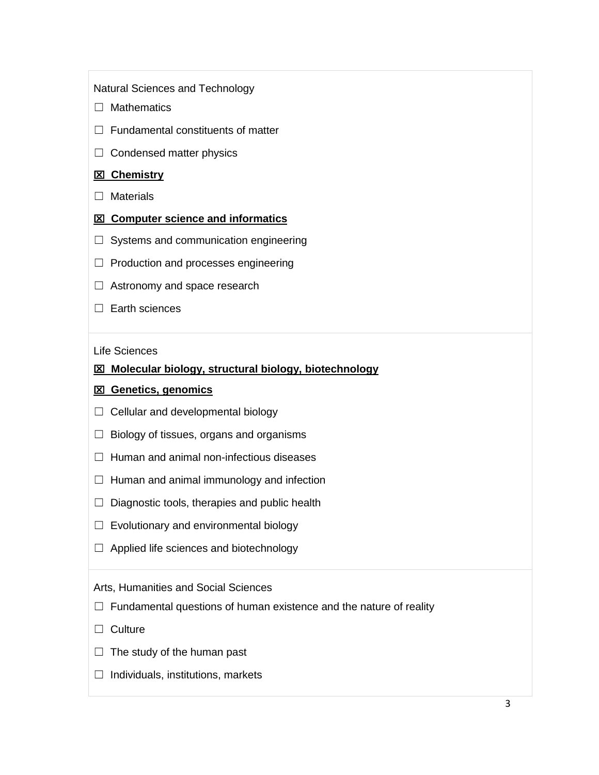Natural Sciences and Technology

- □ Mathematics
- $\Box$  Fundamental constituents of matter
- $\Box$  Condensed matter physics

#### **Chemistry**

- □ Materials
- **EXI** Computer science and informatics
- $\Box$  Systems and communication engineering
- ☐ Production and processes engineering
- $\Box$  Astronomy and space research
- □ Earth sciences

Life Sciences

#### **Molecular biology, structural biology, biotechnology**

#### **Genetics, genomics**

- $\Box$  Cellular and developmental biology
- $\Box$  Biology of tissues, organs and organisms
- $\Box$  Human and animal non-infectious diseases
- $\Box$  Human and animal immunology and infection
- $\Box$  Diagnostic tools, therapies and public health
- $\Box$  Evolutionary and environmental biology
- ☐ Applied life sciences and biotechnology

#### Arts, Humanities and Social Sciences

- $\Box$  Fundamental questions of human existence and the nature of reality
- □ Culture
- $\Box$  The study of the human past
- $\Box$  Individuals, institutions, markets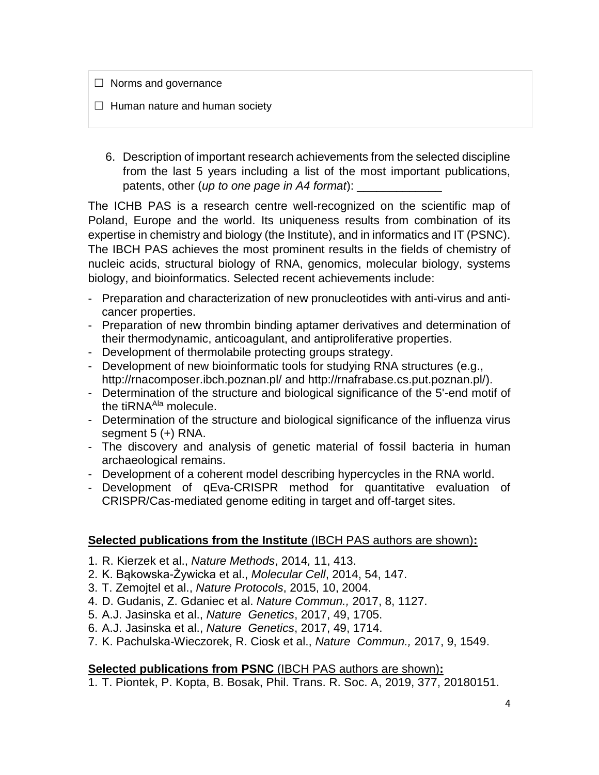$\Box$  Norms and governance

- $\Box$  Human nature and human society
	- 6. Description of important research achievements from the selected discipline from the last 5 years including a list of the most important publications, patents, other (*up to one page in A4 format*):

The ICHB PAS is a research centre well-recognized on the scientific map of Poland, Europe and the world. Its uniqueness results from combination of its expertise in chemistry and biology (the Institute), and in informatics and IT (PSNC). The IBCH PAS achieves the most prominent results in the fields of chemistry of nucleic acids, structural biology of RNA, genomics, molecular biology, systems biology, and bioinformatics. Selected recent achievements include:

- Preparation and characterization of new pronucleotides with anti-virus and anticancer properties.
- Preparation of new thrombin binding aptamer derivatives and determination of their thermodynamic, anticoagulant, and antiproliferative properties.
- Development of thermolabile protecting groups strategy.
- Development of new bioinformatic tools for studying RNA structures (e.g., <http://rnacomposer.ibch.poznan.pl/> and http://rnafrabase.cs.put.poznan.pl/).
- Determination of the structure and biological significance of the 5'-end motif of the tiRNA<sup>Ala</sup> molecule.
- Determination of the structure and biological significance of the influenza virus segment 5 (+) RNA.
- The discovery and analysis of genetic material of fossil bacteria in human archaeological remains.
- Development of a coherent model describing hypercycles in the RNA world.
- Development of qEva-CRISPR method for quantitative evaluation of CRISPR/Cas-mediated genome editing in target and off-target sites.

## **Selected publications from the Institute** (IBCH PAS authors are shown)**:**

- 1. [R. Kierzek](http://www.nature.com/nmeth/journal/vaop/ncurrent/full/nmeth.2876.html#auth-10) et al., *Nature Methods*, 2014*,* 11, 413.
- 2. K. Bąkowska-Żywicka et al., *Molecular Cell*, 2014, 54, 147.
- 3. T. Zemojtel et al., *Nature Protocols*, 2015, 10, 2004.
- 4. D. Gudanis, Z. Gdaniec et al. *Nature Commun.,* 2017, 8, 1127.
- 5. A.J. Jasinska et al., *Nature Genetics*, 2017, 49, 1705.
- 6. A.J. Jasinska et al., *Nature Genetics*, 2017, 49, 1714.
- 7. K. Pachulska-Wieczorek, R. Ciosk et al., *Nature Commun.,* 2017, 9, 1549.

## **Selected publications from PSNC** (IBCH PAS authors are shown)**:**

1. T. Piontek, P. Kopta, B. Bosak, Phil. Trans. R. Soc. A, 2019, 377, 20180151.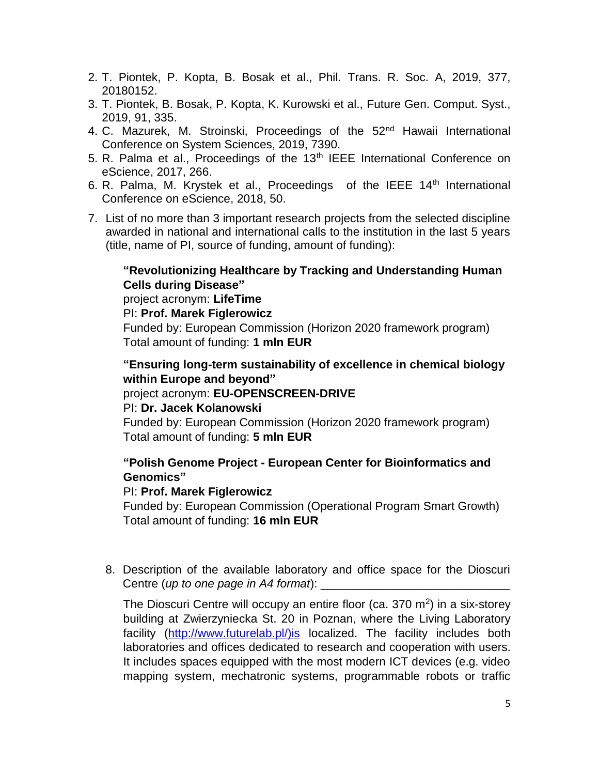- 2. T. Piontek, P. Kopta, B. Bosak et al., Phil. Trans. R. Soc. A, 2019, 377, 20180152.
- 3. T. Piontek, B. Bosak, P. Kopta, K. Kurowski et al., Future Gen. Comput. Syst., 2019, 91, 335.
- 4. C. Mazurek, M. Stroinski, Proceedings of the 52<sup>nd</sup> Hawaii International Conference on System Sciences, 2019, 7390.
- 5. R. Palma et al., Proceedings of the 13<sup>th</sup> IEEE International Conference on eScience, 2017, 266.
- 6. R. Palma, M. Krystek et al., Proceedings of the IEEE  $14<sup>th</sup>$  International Conference on eScience, 2018, 50.
- 7. List of no more than 3 important research projects from the selected discipline awarded in national and international calls to the institution in the last 5 years (title, name of PI, source of funding, amount of funding):

## **"Revolutionizing Healthcare by Tracking and Understanding Human Cells during Disease"**

project acronym: **LifeTime**

PI: **Prof. Marek Figlerowicz**

Funded by: European Commission (Horizon 2020 framework program) Total amount of funding: **1 mln EUR**

**"Ensuring long-term sustainability of excellence in chemical biology within Europe and beyond"**

project acronym: **EU-OPENSCREEN-DRIVE**

### PI: **Dr. Jacek Kolanowski**

Funded by: European Commission (Horizon 2020 framework program) Total amount of funding: **5 mln EUR**

## **"Polish Genome Project - European Center for Bioinformatics and Genomics"**

### PI: **Prof. Marek Figlerowicz**

Funded by: European Commission (Operational Program Smart Growth) Total amount of funding: **16 mln EUR**

8. Description of the available laboratory and office space for the Dioscuri Centre (*up* to one page in A4 format):

The Dioscuri Centre will occupy an entire floor (ca. 370  $m<sup>2</sup>$ ) in a six-storey building at Zwierzyniecka St. 20 in Poznan, where the Living Laboratory facility [\(http://www.futurelab.pl/\)is](http://www.futurelab.pl/)is) localized. The facility includes both laboratories and offices dedicated to research and cooperation with users. It includes spaces equipped with the most modern ICT devices (e.g. video mapping system, mechatronic systems, programmable robots or traffic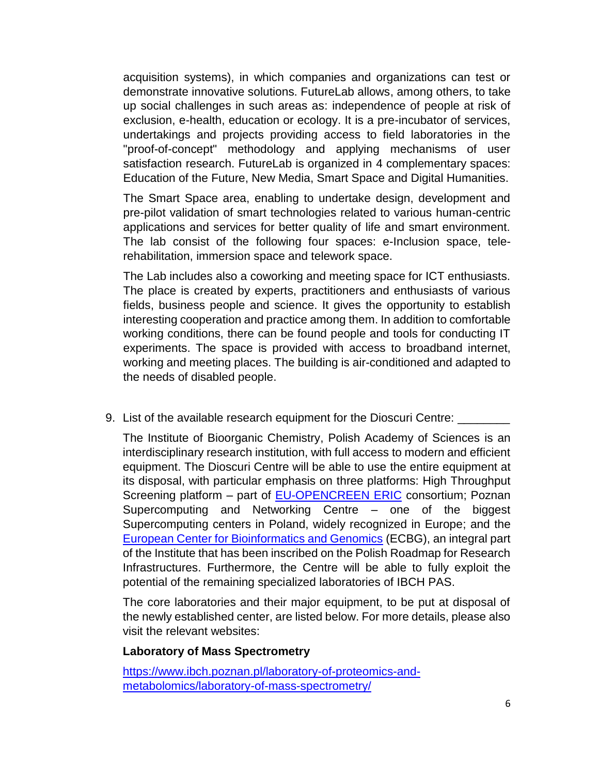acquisition systems), in which companies and organizations can test or demonstrate innovative solutions. FutureLab allows, among others, to take up social challenges in such areas as: independence of people at risk of exclusion, e-health, education or ecology. It is a pre-incubator of services, undertakings and projects providing access to field laboratories in the "proof-of-concept" methodology and applying mechanisms of user satisfaction research. FutureLab is organized in 4 complementary spaces: Education of the Future, New Media, Smart Space and Digital Humanities.

The Smart Space area, enabling to undertake design, development and pre-pilot validation of smart technologies related to various human-centric applications and services for better quality of life and smart environment. The lab consist of the following four spaces: e-Inclusion space, telerehabilitation, immersion space and telework space.

The Lab includes also a coworking and meeting space for ICT enthusiasts. The place is created by experts, practitioners and enthusiasts of various fields, business people and science. It gives the opportunity to establish interesting cooperation and practice among them. In addition to comfortable working conditions, there can be found people and tools for conducting IT experiments. The space is provided with access to broadband internet, working and meeting places. The building is air-conditioned and adapted to the needs of disabled people.

9. List of the available research equipment for the Dioscuri Centre:

The Institute of Bioorganic Chemistry, Polish Academy of Sciences is an interdisciplinary research institution, with full access to modern and efficient equipment. The Dioscuri Centre will be able to use the entire equipment at its disposal, with particular emphasis on three platforms: High Throughput Screening platform - part of [EU-OPENCREEN ERIC](https://www.eu-openscreen.eu/) consortium; Poznan Supercomputing and Networking Centre – one of the biggest Supercomputing centers in Poland, widely recognized in Europe; and the [European Center for Bioinformatics and Genomics](http://ecbig.pl/) (ECBG), an integral part of the Institute that has been inscribed on the Polish Roadmap for Research Infrastructures. Furthermore, the Centre will be able to fully exploit the potential of the remaining specialized laboratories of IBCH PAS.

The core laboratories and their major equipment, to be put at disposal of the newly established center, are listed below. For more details, please also visit the relevant websites:

### **Laboratory of Mass Spectrometry**

[https://www.ibch.poznan.pl/laboratory-of-proteomics-and](https://www.ibch.poznan.pl/laboratory-of-proteomics-and-metabolomics/laboratory-of-mass-spectrometry/)[metabolomics/laboratory-of-mass-spectrometry/](https://www.ibch.poznan.pl/laboratory-of-proteomics-and-metabolomics/laboratory-of-mass-spectrometry/)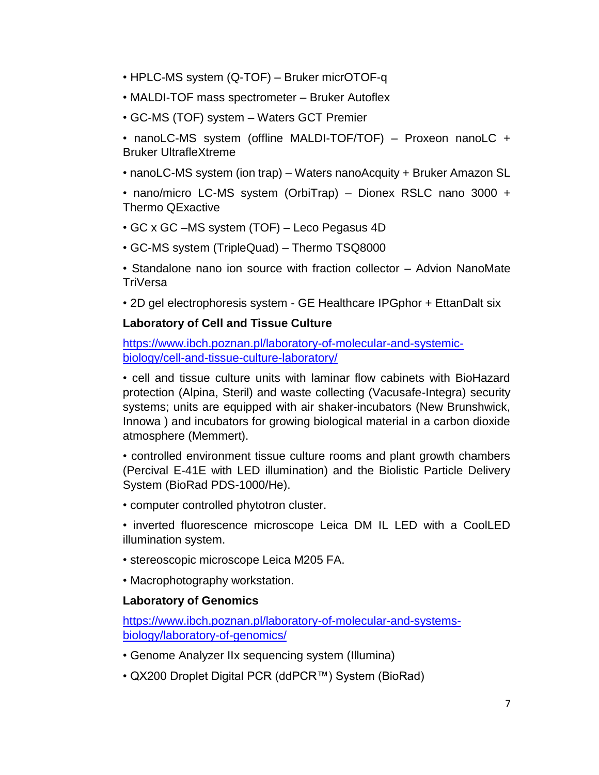- HPLC-MS system (Q-TOF) Bruker micrOTOF-q
- MALDI-TOF mass spectrometer Bruker Autoflex
- GC-MS (TOF) system Waters GCT Premier

• nanoLC-MS system (offline MALDI-TOF/TOF) – Proxeon nanoLC + Bruker UltrafleXtreme

• nanoLC-MS system (ion trap) – Waters nanoAcquity + Bruker Amazon SL

• nano/micro LC-MS system (OrbiTrap) – Dionex RSLC nano 3000 + Thermo QExactive

- GC x GC –MS system (TOF) Leco Pegasus 4D
- GC-MS system (TripleQuad) Thermo TSQ8000

• Standalone nano ion source with fraction collector – Advion NanoMate **TriVersa** 

• 2D gel electrophoresis system - GE Healthcare IPGphor + EttanDalt six

#### **Laboratory of Cell and Tissue Culture**

[https://www.ibch.poznan.pl/laboratory-of-molecular-and-systemic](https://www.ibch.poznan.pl/laboratory-of-molecular-and-systemic-biology/cell-and-tissue-culture-laboratory/)[biology/cell-and-tissue-culture-laboratory/](https://www.ibch.poznan.pl/laboratory-of-molecular-and-systemic-biology/cell-and-tissue-culture-laboratory/)

• cell and tissue culture units with laminar flow cabinets with BioHazard protection (Alpina, Steril) and waste collecting (Vacusafe-Integra) security systems; units are equipped with air shaker-incubators (New Brunshwick, Innowa ) and incubators for growing biological material in a carbon dioxide atmosphere (Memmert).

• controlled environment tissue culture rooms and plant growth chambers (Percival E-41E with LED illumination) and the Biolistic Particle Delivery System (BioRad PDS-1000/He).

• computer controlled phytotron cluster.

• inverted fluorescence microscope Leica DM IL LED with a CoolLED illumination system.

- stereoscopic microscope Leica M205 FA.
- Macrophotography workstation.

### **Laboratory of Genomics**

[https://www.ibch.poznan.pl/laboratory-of-molecular-and-systems](https://www.ibch.poznan.pl/laboratory-of-molecular-and-systems-biology/laboratory-of-genomics/)[biology/laboratory-of-genomics/](https://www.ibch.poznan.pl/laboratory-of-molecular-and-systems-biology/laboratory-of-genomics/)

- Genome Analyzer IIx sequencing system (Illumina)
- QX200 Droplet Digital PCR (ddPCR™) System (BioRad)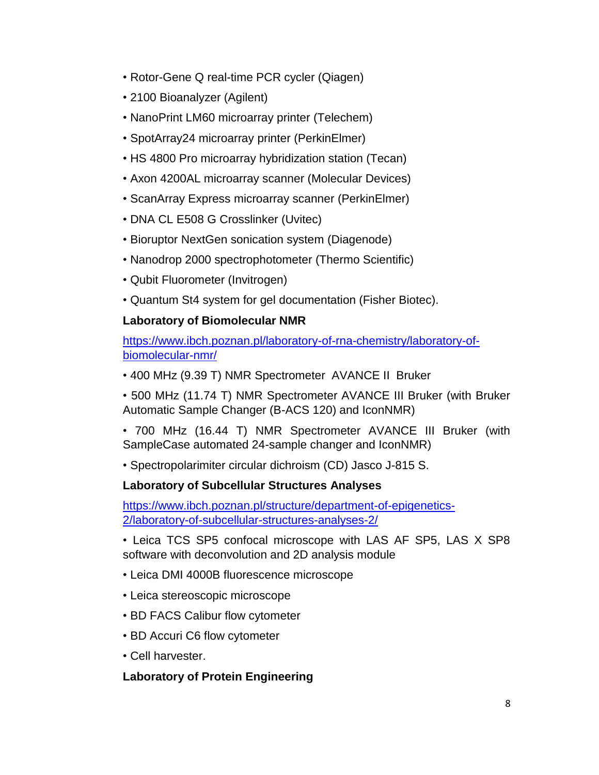- Rotor-Gene Q real-time PCR cycler (Qiagen)
- 2100 Bioanalyzer (Agilent)
- NanoPrint LM60 microarray printer (Telechem)
- SpotArray24 microarray printer (PerkinElmer)
- HS 4800 Pro microarray hybridization station (Tecan)
- Axon 4200AL microarray scanner (Molecular Devices)
- ScanArray Express microarray scanner (PerkinElmer)
- DNA CL E508 G Crosslinker (Uvitec)
- Bioruptor NextGen sonication system (Diagenode)
- Nanodrop 2000 spectrophotometer (Thermo Scientific)
- Qubit Fluorometer (Invitrogen)
- Quantum St4 system for gel documentation (Fisher Biotec).

# **Laboratory of Biomolecular NMR**

[https://www.ibch.poznan.pl/laboratory-of-rna-chemistry/laboratory-of](https://www.ibch.poznan.pl/laboratory-of-rna-chemistry/laboratory-of-biomolecular-nmr/)[biomolecular-nmr/](https://www.ibch.poznan.pl/laboratory-of-rna-chemistry/laboratory-of-biomolecular-nmr/) 

• 400 MHz (9.39 T) NMR Spectrometer AVANCE II Bruker

• 500 MHz (11.74 T) NMR Spectrometer AVANCE III Bruker (with Bruker Automatic Sample Changer (B-ACS 120) and IconNMR)

- 700 MHz (16.44 T) NMR Spectrometer AVANCE III Bruker (with SampleCase automated 24-sample changer and IconNMR)
- Spectropolarimiter circular dichroism (CD) Jasco J-815 S.

## **Laboratory of Subcellular Structures Analyses**

[https://www.ibch.poznan.pl/structure/department-of-epigenetics-](https://www.ibch.poznan.pl/structure/department-of-epigenetics-2/laboratory-of-subcellular-structures-analyses-2/)[2/laboratory-of-subcellular-structures-analyses-2/](https://www.ibch.poznan.pl/structure/department-of-epigenetics-2/laboratory-of-subcellular-structures-analyses-2/) 

- Leica TCS SP5 confocal microscope with LAS AF SP5, LAS X SP8 software with deconvolution and 2D analysis module
- Leica DMI 4000B fluorescence microscope
- Leica stereoscopic microscope
- BD FACS Calibur flow cytometer
- BD Accuri C6 flow cytometer
- Cell harvester.

## **Laboratory of Protein Engineering**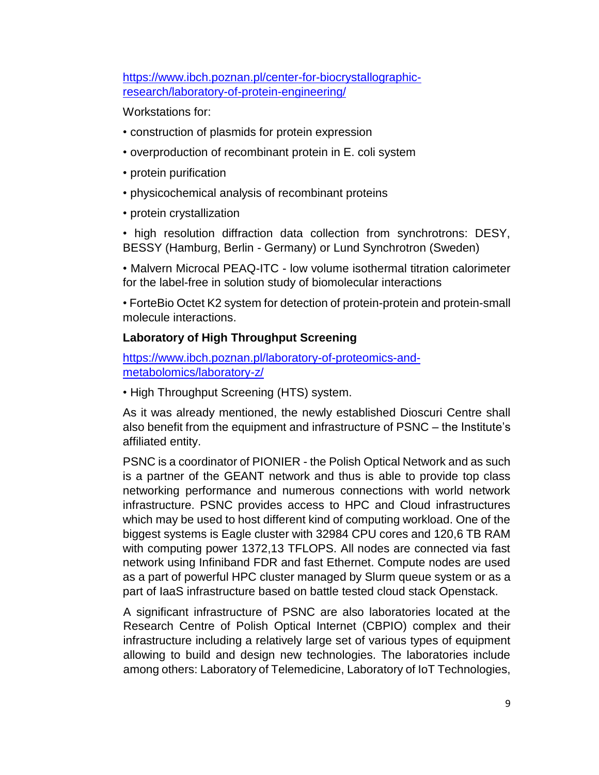[https://www.ibch.poznan.pl/center-for-biocrystallographic](https://www.ibch.poznan.pl/center-for-biocrystallographic-research/laboratory-of-protein-engineering/)[research/laboratory-of-protein-engineering/](https://www.ibch.poznan.pl/center-for-biocrystallographic-research/laboratory-of-protein-engineering/) 

Workstations for:

- construction of plasmids for protein expression
- overproduction of recombinant protein in E. coli system
- protein purification
- physicochemical analysis of recombinant proteins
- protein crystallization

• high resolution diffraction data collection from synchrotrons: DESY, BESSY (Hamburg, Berlin - Germany) or Lund Synchrotron (Sweden)

• Malvern Microcal PEAQ-ITC - low volume isothermal titration calorimeter for the label-free in solution study of biomolecular interactions

• ForteBio Octet K2 system for detection of protein-protein and protein-small molecule interactions.

## **Laboratory of High Throughput Screening**

[https://www.ibch.poznan.pl/laboratory-of-proteomics-and](https://www.ibch.poznan.pl/laboratory-of-proteomics-and-metabolomics/laboratory-z/)[metabolomics/laboratory-z/](https://www.ibch.poznan.pl/laboratory-of-proteomics-and-metabolomics/laboratory-z/)

• High Throughput Screening (HTS) system.

As it was already mentioned, the newly established Dioscuri Centre shall also benefit from the equipment and infrastructure of PSNC – the Institute's affiliated entity.

PSNC is a coordinator of PIONIER - the Polish Optical Network and as such is a partner of the GEANT network and thus is able to provide top class networking performance and numerous connections with world network infrastructure. PSNC provides access to HPC and Cloud infrastructures which may be used to host different kind of computing workload. One of the biggest systems is Eagle cluster with 32984 CPU cores and 120,6 TB RAM with computing power 1372,13 TFLOPS. All nodes are connected via fast network using Infiniband FDR and fast Ethernet. Compute nodes are used as a part of powerful HPC cluster managed by Slurm queue system or as a part of IaaS infrastructure based on battle tested cloud stack Openstack.

A significant infrastructure of PSNC are also laboratories located at the Research Centre of Polish Optical Internet (CBPIO) complex and their infrastructure including a relatively large set of various types of equipment allowing to build and design new technologies. The laboratories include among others: Laboratory of Telemedicine, Laboratory of IoT Technologies,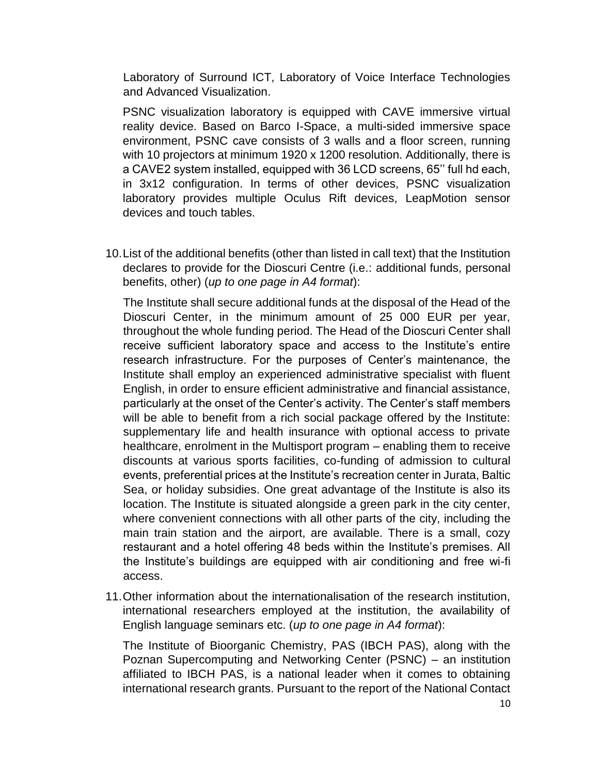Laboratory of Surround ICT, Laboratory of Voice Interface Technologies and Advanced Visualization.

PSNC visualization laboratory is equipped with CAVE immersive virtual reality device. Based on Barco I-Space, a multi-sided immersive space environment, PSNC cave consists of 3 walls and a floor screen, running with 10 projectors at minimum 1920 x 1200 resolution. Additionally, there is a CAVE2 system installed, equipped with 36 LCD screens, 65'' full hd each, in 3x12 configuration. In terms of other devices, PSNC visualization laboratory provides multiple Oculus Rift devices, LeapMotion sensor devices and touch tables.

10.List of the additional benefits (other than listed in call text) that the Institution declares to provide for the Dioscuri Centre (i.e.: additional funds, personal benefits, other) (*up to one page in A4 format*):

The Institute shall secure additional funds at the disposal of the Head of the Dioscuri Center, in the minimum amount of 25 000 EUR per year, throughout the whole funding period. The Head of the Dioscuri Center shall receive sufficient laboratory space and access to the Institute's entire research infrastructure. For the purposes of Center's maintenance, the Institute shall employ an experienced administrative specialist with fluent English, in order to ensure efficient administrative and financial assistance, particularly at the onset of the Center's activity. The Center's staff members will be able to benefit from a rich social package offered by the Institute: supplementary life and health insurance with optional access to private healthcare, enrolment in the Multisport program – enabling them to receive discounts at various sports facilities, co-funding of admission to cultural events, preferential prices at the Institute's recreation center in Jurata, Baltic Sea, or holiday subsidies. One great advantage of the Institute is also its location. The Institute is situated alongside a green park in the city center, where convenient connections with all other parts of the city, including the main train station and the airport, are available. There is a small, cozy restaurant and a hotel offering 48 beds within the Institute's premises. All the Institute's buildings are equipped with air conditioning and free wi-fi access.

11.Other information about the internationalisation of the research institution, international researchers employed at the institution, the availability of English language seminars etc. (*up to one page in A4 format*):

The Institute of Bioorganic Chemistry, PAS (IBCH PAS), along with the Poznan Supercomputing and Networking Center (PSNC) – an institution affiliated to IBCH PAS, is a national leader when it comes to obtaining international research grants. Pursuant to the report of the National Contact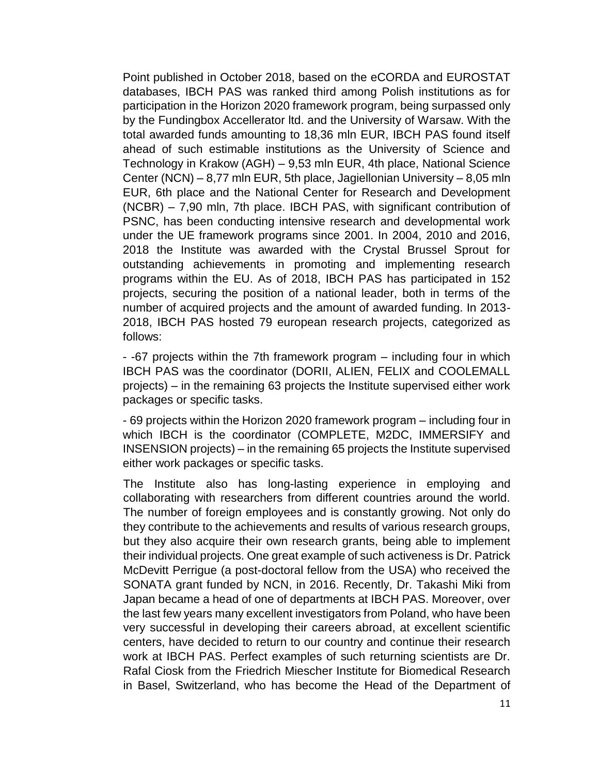Point published in October 2018, based on the eCORDA and EUROSTAT databases, IBCH PAS was ranked third among Polish institutions as for participation in the Horizon 2020 framework program, being surpassed only by the Fundingbox Accellerator ltd. and the University of Warsaw. With the total awarded funds amounting to 18,36 mln EUR, IBCH PAS found itself ahead of such estimable institutions as the University of Science and Technology in Krakow (AGH) – 9,53 mln EUR, 4th place, National Science Center (NCN) – 8,77 mln EUR, 5th place, Jagiellonian University – 8,05 mln EUR, 6th place and the National Center for Research and Development (NCBR) – 7,90 mln, 7th place. IBCH PAS, with significant contribution of PSNC, has been conducting intensive research and developmental work under the UE framework programs since 2001. In 2004, 2010 and 2016, 2018 the Institute was awarded with the Crystal Brussel Sprout for outstanding achievements in promoting and implementing research programs within the EU. As of 2018, IBCH PAS has participated in 152 projects, securing the position of a national leader, both in terms of the number of acquired projects and the amount of awarded funding. In 2013- 2018, IBCH PAS hosted 79 european research projects, categorized as follows:

- -67 projects within the 7th framework program – including four in which IBCH PAS was the coordinator (DORII, ALIEN, FELIX and COOLEMALL projects) – in the remaining 63 projects the Institute supervised either work packages or specific tasks.

- 69 projects within the Horizon 2020 framework program – including four in which IBCH is the coordinator (COMPLETE, M2DC, IMMERSIFY and INSENSION projects) – in the remaining 65 projects the Institute supervised either work packages or specific tasks.

The Institute also has long-lasting experience in employing and collaborating with researchers from different countries around the world. The number of foreign employees and is constantly growing. Not only do they contribute to the achievements and results of various research groups, but they also acquire their own research grants, being able to implement their individual projects. One great example of such activeness is Dr. Patrick McDevitt Perrigue (a post-doctoral fellow from the USA) who received the SONATA grant funded by NCN, in 2016. Recently, Dr. Takashi Miki from Japan became a head of one of departments at IBCH PAS. Moreover, over the last few years many excellent investigators from Poland, who have been very successful in developing their careers abroad, at excellent scientific centers, have decided to return to our country and continue their research work at IBCH PAS. Perfect examples of such returning scientists are Dr. Rafal Ciosk from the Friedrich Miescher Institute for Biomedical Research in Basel, Switzerland, who has become the Head of the Department of